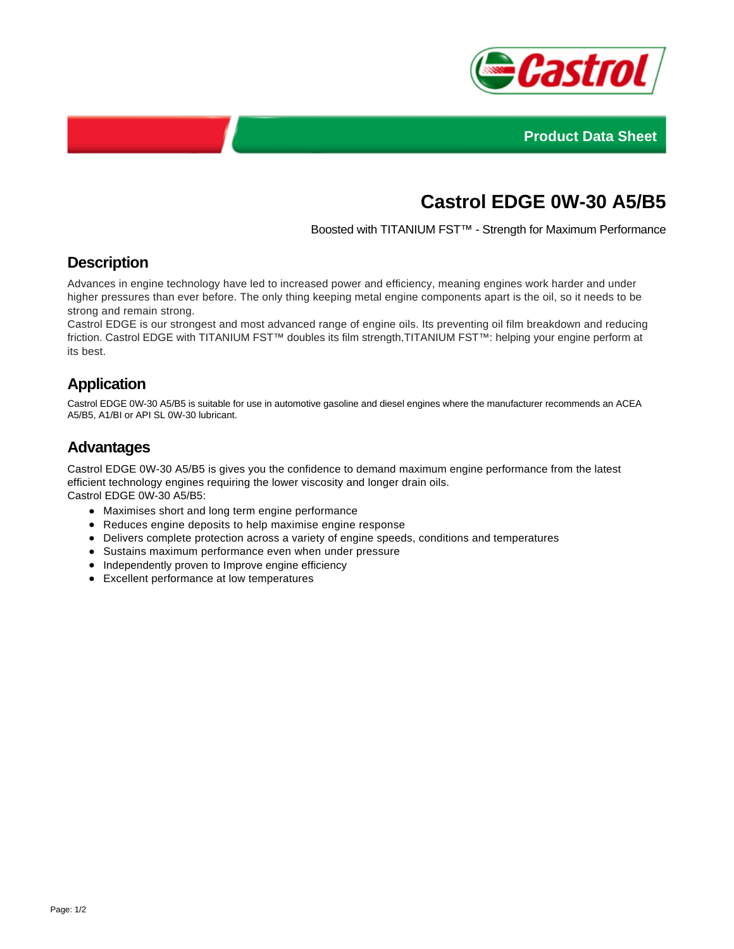



# **Castrol EDGE 0W-30 A5/B5**

Boosted with TITANIUM FST™ - Strength for Maximum Performance

## **Description**

Advances in engine technology have led to increased power and efficiency, meaning engines work harder and under higher pressures than ever before. The only thing keeping metal engine components apart is the oil, so it needs to be strong and remain strong.

Castrol EDGE is our strongest and most advanced range of engine oils. Its preventing oil film breakdown and reducing friction. Castrol EDGE with TITANIUM FST™ doubles its film strength,TITANIUM FST™: helping your engine perform at its best.

## **Application**

Castrol EDGE 0W-30 A5/B5 is suitable for use in automotive gasoline and diesel engines where the manufacturer recommends an ACEA A5/B5, A1/BI or API SL 0W-30 lubricant.

## **Advantages**

Castrol EDGE 0W-30 A5/B5 is gives you the confidence to demand maximum engine performance from the latest efficient technology engines requiring the lower viscosity and longer drain oils. Castrol EDGE 0W-30 A5/B5:

- Maximises short and long term engine performance
- Reduces engine deposits to help maximise engine response
- Delivers complete protection across a variety of engine speeds, conditions and temperatures
- Sustains maximum performance even when under pressure
- Independently proven to Improve engine efficiency
- Excellent performance at low temperatures